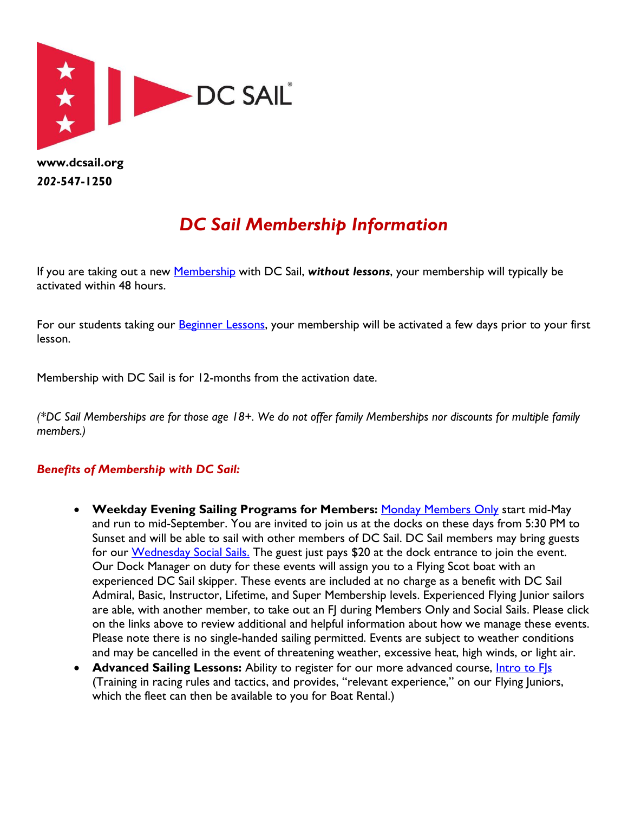

*202***-547-1250**

## *DC Sail Membership Information*

If you are taking out a new [Membership](https://dcsail.org/membership) with DC Sail, *without lessons*, your membership will typically be activated within 48 hours.

For our students taking our **Beginner Lessons**, your membership will be activated a few days prior to your first lesson.

Membership with DC Sail is for 12-months from the activation date.

*(\*DC Sail Memberships are for those age 18+. We do not offer family Memberships nor discounts for multiple family members.)*

## *Benefits of Membership with DC Sail:*

- **Weekday Evening Sailing Programs for Members:** [Monday Members Only](https://dcsail.org/membersails) start mid-May and run to mid-September. You are invited to join us at the docks on these days from 5:30 PM to Sunset and will be able to sail with other members of DC Sail. DC Sail members may bring guests for our [Wednesday Social Sails.](https://dcsail.org/socialsails) The guest just pays \$20 at the dock entrance to join the event. Our Dock Manager on duty for these events will assign you to a Flying Scot boat with an experienced DC Sail skipper. These events are included at no charge as a benefit with DC Sail Admiral, Basic, Instructor, Lifetime, and Super Membership levels. Experienced Flying Junior sailors are able, with another member, to take out an FJ during Members Only and Social Sails. Please click on the links above to review additional and helpful information about how we manage these events. Please note there is no single-handed sailing permitted. Events are subject to weather conditions and may be cancelled in the event of threatening weather, excessive heat, high winds, or light air.
- **Advanced Sailing Lessons:** Ability to register for our more advanced course, [Intro to FJs](https://dcsail.org/lessons-introtofjs) (Training in racing rules and tactics, and provides, "relevant experience," on our Flying Juniors, which the fleet can then be available to you for Boat Rental.)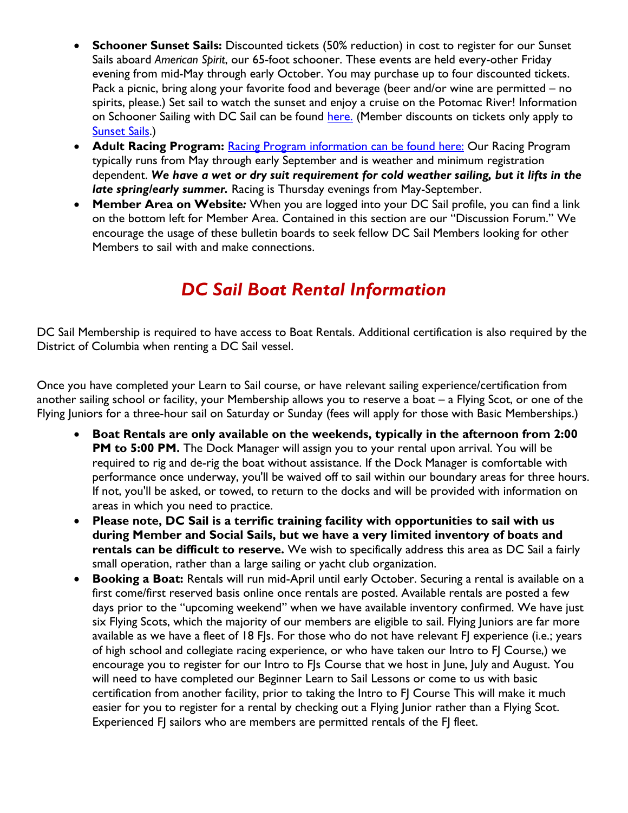- **Schooner Sunset Sails:** Discounted tickets (50% reduction) in cost to register for our Sunset Sails aboard *American Spirit*, our 65-foot schooner. These events are held every-other Friday evening from mid-May through early October. You may purchase up to four discounted tickets. Pack a picnic, bring along your favorite food and beverage (beer and/or wine are permitted – no spirits, please.) Set sail to watch the sunset and enjoy a cruise on the Potomac River! Information on Schooner Sailing with DC Sail can be found [here.](http://www.dcsail.org/schooner) (Member discounts on tickets only apply to [Sunset Sails.](http://www.dcsail.org/schooner-cruises))
- **Adult Racing Program:** Racing Program [information can be found here:](http://dcsail.org/racing) Our Racing Program typically runs from May through early September and is weather and minimum registration dependent. *We have a wet or dry suit requirement for cold weather sailing, but it lifts in the late spring/early summer.* Racing is Thursday evenings from May-September.
- **Member Area on Website***:* When you are logged into your DC Sail profile, you can find a link on the bottom left for Member Area. Contained in this section are our "Discussion Forum." We encourage the usage of these bulletin boards to seek fellow DC Sail Members looking for other Members to sail with and make connections.

## *DC Sail Boat Rental Information*

DC Sail Membership is required to have access to Boat Rentals. Additional certification is also required by the District of Columbia when renting a DC Sail vessel.

Once you have completed your Learn to Sail course, or have relevant sailing experience/certification from another sailing school or facility, your Membership allows you to reserve a boat – a Flying Scot, or one of the Flying Juniors for a three-hour sail on Saturday or Sunday (fees will apply for those with Basic Memberships.)

- **Boat Rentals are only available on the weekends, typically in the afternoon from 2:00 PM to 5:00 PM.** The Dock Manager will assign you to your rental upon arrival. You will be required to rig and de-rig the boat without assistance. If the Dock Manager is comfortable with performance once underway, you'll be waived off to sail within our boundary areas for three hours. If not, you'll be asked, or towed, to return to the docks and will be provided with information on areas in which you need to practice.
- **Please note, DC Sail is a terrific training facility with opportunities to sail with us during Member and Social Sails, but we have a very limited inventory of boats and rentals can be difficult to reserve.** We wish to specifically address this area as DC Sail a fairly small operation, rather than a large sailing or yacht club organization.
- **Booking a Boat:** Rentals will run mid-April until early October. Securing a rental is available on a first come/first reserved basis online once rentals are posted. Available rentals are posted a few days prior to the "upcoming weekend" when we have available inventory confirmed. We have just six Flying Scots, which the majority of our members are eligible to sail. Flying Juniors are far more available as we have a fleet of 18 FJs. For those who do not have relevant FJ experience (i.e.; years of high school and collegiate racing experience, or who have taken our Intro to FJ Course,) we encourage you to register for our Intro to FJs Course that we host in June, July and August. You will need to have completed our Beginner Learn to Sail Lessons or come to us with basic certification from another facility, prior to taking the Intro to FJ Course This will make it much easier for you to register for a rental by checking out a Flying Junior rather than a Flying Scot. Experienced FJ sailors who are members are permitted rentals of the FJ fleet.